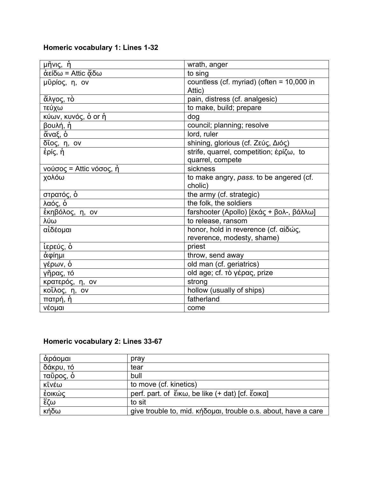# **Homeric vocabulary 1: Lines 1-32**

| <u>μῆνις, ἡ</u>         | wrath, anger                                |
|-------------------------|---------------------------------------------|
| άείδω = Attic ἄδω       | to sing                                     |
| μῦρίος, η, ον           | countless (cf. myriad) (often = $10,000$ in |
|                         | Attic)                                      |
| ἄλγος, τὸ               | pain, distress (cf. analgesic)              |
| τεύχω                   | to make, build; prepare                     |
| κύων, κυνός, ὁ or ἡ     | dog                                         |
| βουλή, ἡ                | council; planning; resolve                  |
| άναξ, ό                 | lord, ruler                                 |
| δῖος, η, ον             | shining, glorious (cf. Ζεύς, Διός)          |
| έρίς, ἡ                 | strife, quarrel, competition; έρίζω, to     |
|                         | quarrel, compete                            |
| νούσος = Attic νόσος, ή | sickness                                    |
| χολόω                   | to make angry, pass. to be angered (cf.     |
|                         | cholic)                                     |
| στρατός, ὁ              | the army (cf. strategic)                    |
| λαός, ὁ                 | the folk, the soldiers                      |
| έκηβόλος, η, ον         | farshooter (Apollo) [έκάς + βολ-, βάλλω]    |
| λύω                     | to release, ransom                          |
| αἰδέομαι                | honor, hold in reverence (cf. αἰδώς,        |
|                         | reverence, modesty, shame)                  |
| ἱερεύς, ὁ               | priest                                      |
| ἀφίημι                  | throw, send away                            |
| <u>γέρων,</u> ὁ         | old man (cf. geriatrics)                    |
| γῆρας, τό               | old age; cf. τὸ γέρας, prize                |
| κρατερός, η, ον         | strong                                      |
| κοΐλος, η, ον           | hollow (usually of ships)                   |
| πατρή, ἡ                | fatherland                                  |
| νέομαι                  | come                                        |

## **Homeric vocabulary 2: Lines 33-67**

| αράομαι   | pray                                                           |
|-----------|----------------------------------------------------------------|
| δάκρυ, τό | tear                                                           |
| ταῦρος, ὁ | bull                                                           |
| κῖνέω     | to move (cf. kinetics)                                         |
| ἐοικώς    | perf. part. of ἔικω, be like (+ dat) [cf. ἔοικα]               |
| ξζω       | to sit                                                         |
| κήδω      | give trouble to, mid. κήδομαι, trouble o.s. about, have a care |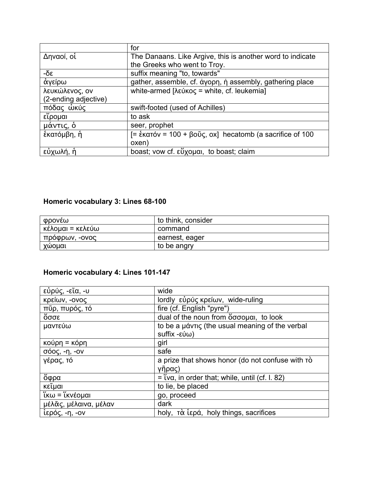|                      | for                                                        |
|----------------------|------------------------------------------------------------|
| Δηναοί, οί           | The Danaans. Like Argive, this is another word to indicate |
|                      | the Greeks who went to Troy.                               |
| 3δ-                  | suffix meaning "to, towards"                               |
| άγείρω               | gather, assemble, cf. άγορη, ή assembly, gathering place   |
| λευκώλενος, ον       | white-armed [λεύκος = white, cf. leukemia]                 |
| (2-ending adjective) |                                                            |
| πόδας ώκύς           | swift-footed (used of Achilles)                            |
| εἴρομαι              | to ask                                                     |
| μάντις, ό            | seer, prophet                                              |
| έκατόμβη, ή          | $=$ έκατόν = 100 + βοῦς, οχ] hecatomb (a sacrifice of 100  |
|                      | oxen)                                                      |
| εὐχωλή, ἡ            | boast; vow cf. εὖχομαι, to boast; claim                    |

# **Homeric vocabulary 3: Lines 68-100**

| φρονέω           | to think, consider |
|------------------|--------------------|
| κέλομαι = κελεύω | command            |
| πρόφρων, -ονος   | earnest, eager     |
| χωομαι           | to be angry        |

# **Homeric vocabulary 4: Lines 101-147**

| εὐρύς, -εῖα, -υ                                       | wide                                             |
|-------------------------------------------------------|--------------------------------------------------|
| κρείων, -ονος                                         | lordly εὐρύς κρείων, wide-ruling                 |
| πῦρ, πυρός, τό                                        | fire (cf. English "pyre")                        |
| άσσε                                                  | dual of the noun from ὄσσομαι, to look           |
| μαντεύω                                               | to be a μάντις (the usual meaning of the verbal  |
|                                                       | suffix -εύω)                                     |
| κούρη = κόρη                                          | girl                                             |
| $σόος, -η, -ον$                                       | safe                                             |
| γέρας, τό                                             | a prize that shows honor (do not confuse with ro |
|                                                       | γῆρας)                                           |
| ὄφρα                                                  | $=$ Tva, in order that; while, until (cf. I. 82) |
| κεῖμαι                                                | to lie, be placed                                |
| $\overline{\mathfrak{k}}$ κω = $\mathfrak{k}$ κνέομαι | go, proceed                                      |
| μέλας, μέλαινα, μέλαν                                 | dark                                             |
| ίερός, -η, -ον                                        | holy, τὰ ἱερά, holy things, sacrifices           |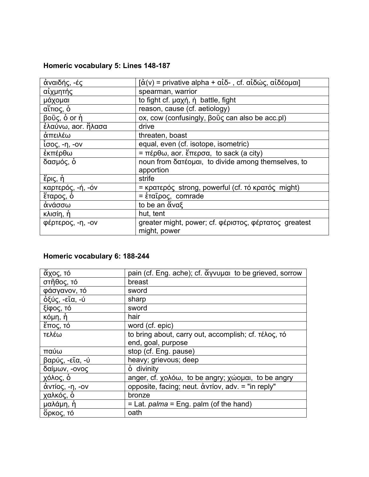## **Homeric vocabulary 5: Lines 148-187**

| άναιδής, -ές       | $\left[\dot{\alpha}(v)$ = privative alpha + αἰδ-, cf. αἰδώς, αἰδέομαι]       |
|--------------------|------------------------------------------------------------------------------|
| αίχμητής           | spearman, warrior                                                            |
| μάχομαι            | to fight cf. $\mu$ axn, $\eta$ battle, fight                                 |
| αἴτιος, ὁ          | reason, cause (cf. aetiology)                                                |
| βοῦς, ὁ or ἡ       | ox, cow (confusingly, βοῦς can also be acc.pl)                               |
| έλαύνω, aor. ἤλασα | drive                                                                        |
| άπειλέω            | threaten, boast                                                              |
| ίσος, -η, -ον      | equal, even (cf. isotope, isometric)                                         |
| ἐκπέρθω            | $\sqrt{2} = \pi \epsilon \rho \theta \omega$ , aor. ἔπερσα, to sack (a city) |
| δασμός, δ          | noun from δατέομαι, to divide among themselves, to                           |
|                    | apportion                                                                    |
| έρις, ή            | strife                                                                       |
| καρτερός, -ή, -όν  | = κρατερός strong, powerful (cf. τό κρατός might)                            |
| έταρος, ό          | = ἑταῖρος, comrade                                                           |
| ἀνάσσω             | to be an ἄναξ                                                                |
| κλισίη, ἡ          | hut, tent                                                                    |
| φέρτερος, -η, -ον  | greater might, power; cf. φέριστος, φέρτατος greatest                        |
|                    | might, power                                                                 |

### **Homeric vocabulary 6: 188-244**

| <u>ἆχος, τό</u> | pain (cf. Eng. ache); cf. «γνυμαι to be grieved, sorrow |
|-----------------|---------------------------------------------------------|
| στῆθος, τό      | breast                                                  |
| φάσγανον, τό    | sword                                                   |
| όξύς, -εῖα, -ύ  | sharp                                                   |
| ξίφος, τό       | sword                                                   |
| κόμη <u>, ὴ</u> | hair                                                    |
| έπος, <u>τό</u> | word (cf. epic)                                         |
| τελέω           | to bring about, carry out, accomplish; cf. τέλος, τό    |
|                 | end, goal, purpose                                      |
| παύω            | stop (cf. Eng. pause)                                   |
| βαρύς, -εῖα, -ύ | heavy; grievous; deep                                   |
| δαίμων, -ονος   | ó divinity                                              |
| χόλος, ὁ        | anger, cf. χολόω, to be angry; χώομαι, to be angry      |
| άντίος, -η, -ον | opposite, facing; neut. ἀντίον, adv. = "in reply"       |
| χαλκός, ὁ       | bronze                                                  |
| μαλάμη, ή       | $=$ Lat. <i>palma</i> = Eng. palm (of the hand)         |
| όρκος, τό       | oath                                                    |